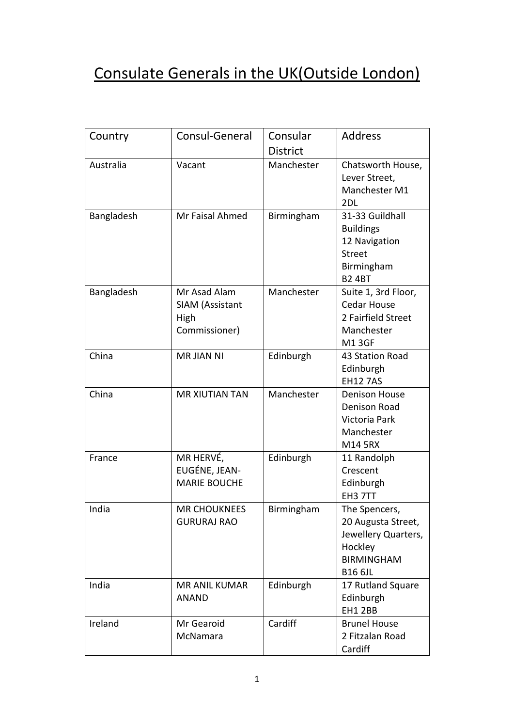## Consulate Generals in the UK(Outside London)

| Country    | Consul-General                                           | Consular<br><b>District</b> | <b>Address</b>                                                                                               |
|------------|----------------------------------------------------------|-----------------------------|--------------------------------------------------------------------------------------------------------------|
| Australia  | Vacant                                                   | Manchester                  | Chatsworth House,<br>Lever Street,<br>Manchester M1<br>2DL                                                   |
| Bangladesh | Mr Faisal Ahmed                                          | Birmingham                  | 31-33 Guildhall<br><b>Buildings</b><br>12 Navigation<br><b>Street</b><br>Birmingham<br><b>B2 4BT</b>         |
| Bangladesh | Mr Asad Alam<br>SIAM (Assistant<br>High<br>Commissioner) | Manchester                  | Suite 1, 3rd Floor,<br><b>Cedar House</b><br>2 Fairfield Street<br>Manchester<br><b>M13GF</b>                |
| China      | <b>MR JIAN NI</b>                                        | Edinburgh                   | 43 Station Road<br>Edinburgh<br><b>EH12 7AS</b>                                                              |
| China      | <b>MR XIUTIAN TAN</b>                                    | Manchester                  | <b>Denison House</b><br>Denison Road<br>Victoria Park<br>Manchester<br>M14 5RX                               |
| France     | MR HERVÉ,<br>EUGÉNE, JEAN-<br><b>MARIE BOUCHE</b>        | Edinburgh                   | 11 Randolph<br>Crescent<br>Edinburgh<br>EH3 7TT                                                              |
| India      | <b>MR CHOUKNEES</b><br><b>GURURAJ RAO</b>                | Birmingham                  | The Spencers,<br>20 Augusta Street,<br>Jewellery Quarters,<br>Hockley<br><b>BIRMINGHAM</b><br><b>B16 6JL</b> |
| India      | <b>MR ANIL KUMAR</b><br><b>ANAND</b>                     | Edinburgh                   | 17 Rutland Square<br>Edinburgh<br><b>EH1 2BB</b>                                                             |
| Ireland    | Mr Gearoid<br>McNamara                                   | Cardiff                     | <b>Brunel House</b><br>2 Fitzalan Road<br>Cardiff                                                            |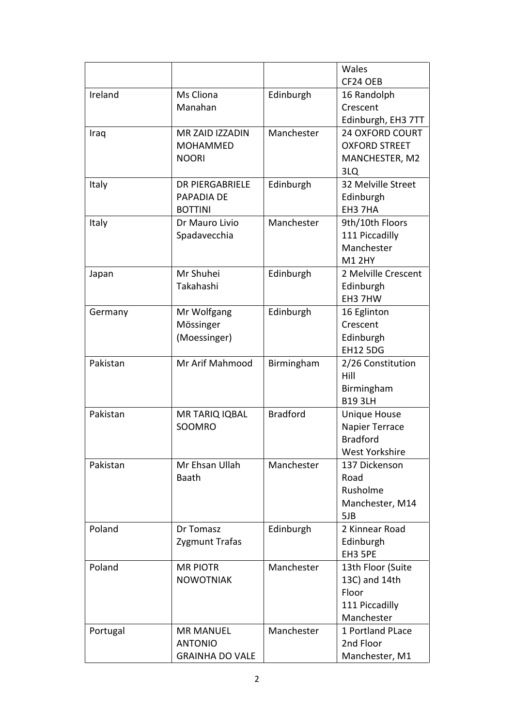|          |                        |                 | Wales                  |
|----------|------------------------|-----------------|------------------------|
|          |                        |                 | CF24 OEB               |
| Ireland  | Ms Cliona              | Edinburgh       | 16 Randolph            |
|          | Manahan                |                 | Crescent               |
|          |                        |                 | Edinburgh, EH3 7TT     |
| Iraq     | MR ZAID IZZADIN        | Manchester      | <b>24 OXFORD COURT</b> |
|          | <b>MOHAMMED</b>        |                 | <b>OXFORD STREET</b>   |
|          | <b>NOORI</b>           |                 | MANCHESTER, M2         |
|          |                        |                 | 3LQ                    |
| Italy    | <b>DR PIERGABRIELE</b> | Edinburgh       | 32 Melville Street     |
|          | PAPADIA DE             |                 | Edinburgh              |
|          | <b>BOTTINI</b>         |                 | EH3 7HA                |
| Italy    | Dr Mauro Livio         | Manchester      | 9th/10th Floors        |
|          | Spadavecchia           |                 | 111 Piccadilly         |
|          |                        |                 | Manchester             |
|          |                        |                 | <b>M1 2HY</b>          |
| Japan    | Mr Shuhei              | Edinburgh       | 2 Melville Crescent    |
|          | Takahashi              |                 | Edinburgh              |
|          |                        |                 | EH3 7HW                |
| Germany  | Mr Wolfgang            | Edinburgh       | 16 Eglinton            |
|          | Mössinger              |                 | Crescent               |
|          | (Moessinger)           |                 | Edinburgh              |
|          |                        |                 | <b>EH12 5DG</b>        |
| Pakistan | Mr Arif Mahmood        | Birmingham      | 2/26 Constitution      |
|          |                        |                 | Hill                   |
|          |                        |                 | Birmingham             |
|          |                        |                 | <b>B19 3LH</b>         |
| Pakistan | <b>MR TARIQ IQBAL</b>  | <b>Bradford</b> | <b>Unique House</b>    |
|          | SOOMRO                 |                 | Napier Terrace         |
|          |                        |                 | <b>Bradford</b>        |
|          |                        |                 | West Yorkshire         |
| Pakistan | Mr Ehsan Ullah         | Manchester      | 137 Dickenson          |
|          | <b>Baath</b>           |                 | Road                   |
|          |                        |                 | Rusholme               |
|          |                        |                 | Manchester, M14        |
|          |                        |                 | 5JB                    |
| Poland   | Dr Tomasz              | Edinburgh       | 2 Kinnear Road         |
|          | Zygmunt Trafas         |                 | Edinburgh              |
|          |                        |                 | EH3 5PE                |
| Poland   | <b>MR PIOTR</b>        | Manchester      | 13th Floor (Suite      |
|          | <b>NOWOTNIAK</b>       |                 | 13C) and 14th          |
|          |                        |                 | Floor                  |
|          |                        |                 | 111 Piccadilly         |
|          |                        |                 | Manchester             |
| Portugal | <b>MR MANUEL</b>       | Manchester      | 1 Portland PLace       |
|          | <b>ANTONIO</b>         |                 | 2nd Floor              |
|          | <b>GRAINHA DO VALE</b> |                 | Manchester, M1         |